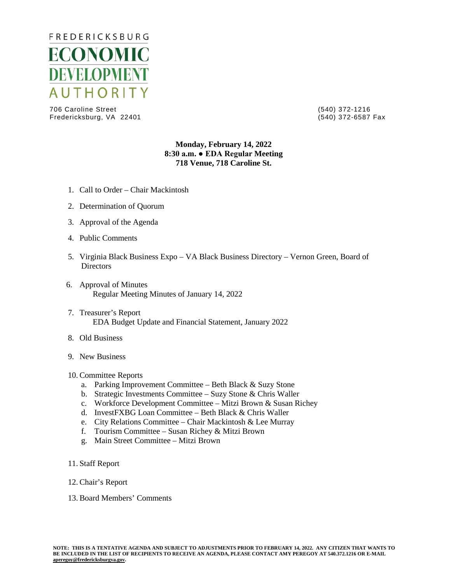

706 Caroline Street (540) 372-1216 Fredericksburg, VA 22401

## **Monday, February 14, 2022 8:30 a.m. ● EDA Regular Meeting 718 Venue, 718 Caroline St.**

- 1. Call to Order Chair Mackintosh
- 2. Determination of Quorum
- 3. Approval of the Agenda
- 4. Public Comments
- 5. Virginia Black Business Expo VA Black Business Directory Vernon Green, Board of Directors
- 6. Approval of Minutes Regular Meeting Minutes of January 14, 2022
- 7. Treasurer's Report EDA Budget Update and Financial Statement, January 2022
- 8. Old Business
- 9. New Business
- 10. Committee Reports
	- a. Parking Improvement Committee Beth Black & Suzy Stone
	- b. Strategic Investments Committee Suzy Stone & Chris Waller
	- c. Workforce Development Committee Mitzi Brown & Susan Richey
	- d. InvestFXBG Loan Committee Beth Black & Chris Waller
	- e. City Relations Committee Chair Mackintosh & Lee Murray
	- f. Tourism Committee Susan Richey & Mitzi Brown
	- g. Main Street Committee Mitzi Brown
- 11. Staff Report
- 12. Chair's Report
- 13. Board Members' Comments